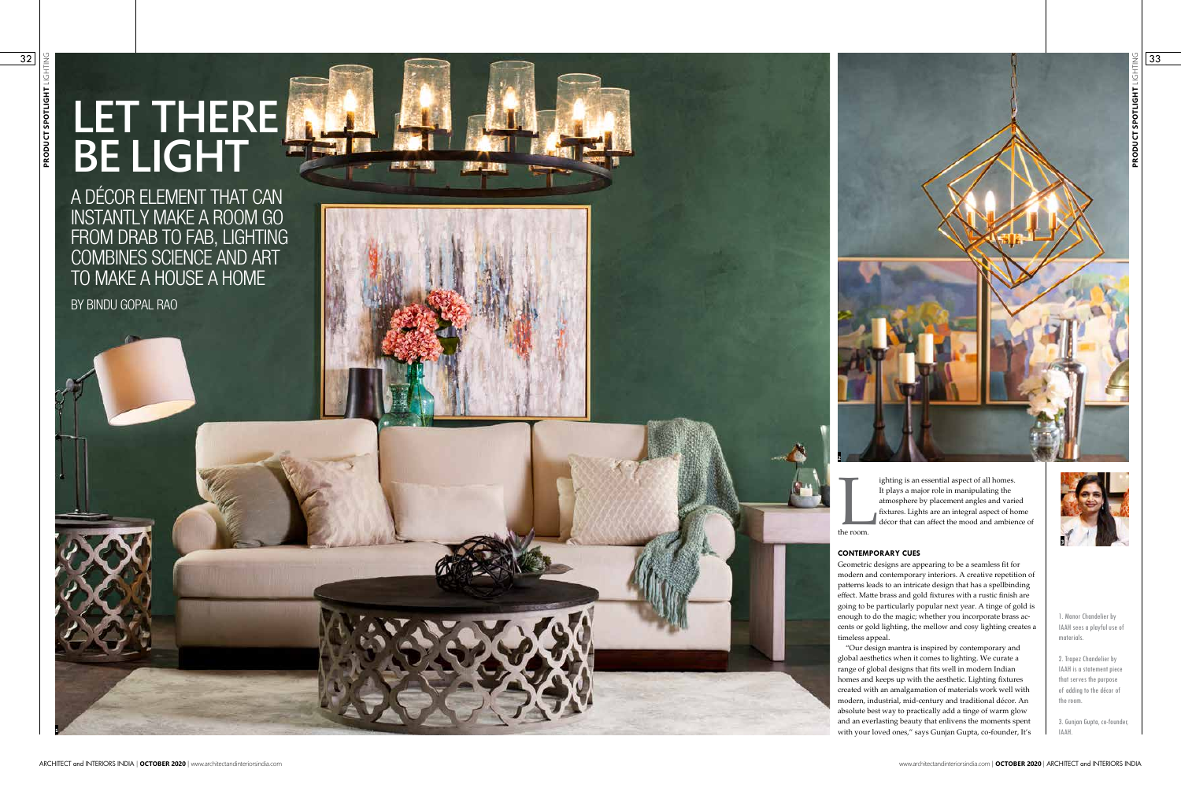# **LET THERE BE LIGHT**

A DÉCOR ELEMENT THAT CAN INSTANTLY MAKE A ROOM GO FROM DRAB TO FAB, LIGHTING COMBINES SCIENCE AND ART TO MAKE A HOUSE A HOME



BY BINDU GOPAL RAO

**PRODUCT SPOTLIGHT** LIGHTING PRODUCT SPOTLIGHT

**1**

1. Manor Chandelier by IAAH sees a playful use of materials.

2. Trapez Chandelier by IAAH is a statement piece that serves the purpose of adding to the décor of the room.

3. Gunjan Gupta, co-founder, IAAH.

ighting is an essential aspect of all homes. It plays a major role in manipulating the atmosphere by placement angles and varied fixtures. Lights are an integral aspect of home décor that can affect the mood and ambience of

The room.

### **CONTEMPORARY CUES**

Geometric designs are appearing to be a seamless fit for modern and contemporary interiors. A creative repetition of patterns leads to an intricate design that has a spellbinding effect. Matte brass and gold fixtures with a rustic finish are going to be particularly popular next year. A tinge of gold is enough to do the magic; whether you incorporate brass ac cents or gold lighting, the mellow and cosy lighting creates a timeless appeal.

"Our design mantra is inspired by contemporary and global aesthetics when it comes to lighting. We curate a range of global designs that fits well in modern Indian homes and keeps up with the aesthetic. Lighting fixtures created with an amalgamation of materials work well with modern, industrial, mid-century and traditional décor. An absolute best way to practically add a tinge of warm glow and an everlasting beauty that enlivens the moments spent with your loved ones," says Gunjan Gupta, co-founder, It's

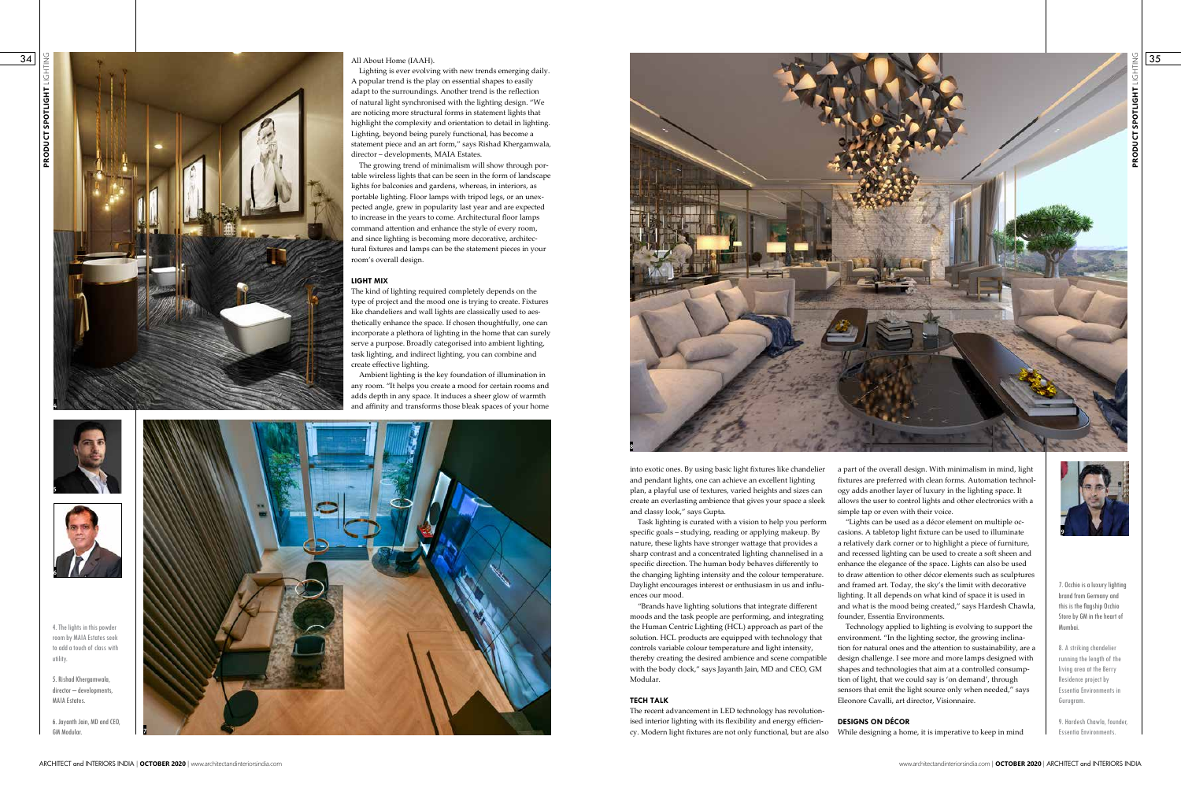Lighting is ever evolving with new trends emerging daily. A popular trend is the play on essential shapes to easily adapt to the surroundings. Another trend is the reflection of natural light synchronised with the lighting design. "We are noticing more structural forms in statement lights that highlight the complexity and orientation to detail in lighting. Lighting, beyond being purely functional, has become a statement piece and an art form," says Rishad Khergamwala, director – developments, MAIA Estates.

The growing trend of minimalism will show through portable wireless lights that can be seen in the form of landscape lights for balconies and gardens, whereas, in interiors, as portable lighting. Floor lamps with tripod legs, or an unexpected angle, grew in popularity last year and are expected to increase in the years to come. Architectural floor lamps command attention and enhance the style of every room, and since lighting is becoming more decorative, architectural fixtures and lamps can be the statement pieces in your room's overall design.

### **LIGHT MIX**

The kind of lighting required completely depends on the type of project and the mood one is trying to create. Fixtures like chandeliers and wall lights are classically used to aesthetically enhance the space. If chosen thoughtfully, one can incorporate a plethora of lighting in the home that can surely serve a purpose. Broadly categorised into ambient lighting, task lighting, and indirect lighting, you can combine and create effective lighting.

Ambient lighting is the key foundation of illumination in any room. "It helps you create a mood for certain rooms and adds depth in any space. It induces a sheer glow of warmth and affinity and transforms those bleak spaces of your home

> into exotic ones. By using basic light fixtures like chandelier and pendant lights, one can achieve an excellent lighting plan, a playful use of textures, varied heights and sizes can create an everlasting ambience that gives your space a sleek and classy look," says Gupta.







Task lighting is curated with a vision to help you perform specific goals – studying, reading or applying makeup. By nature, these lights have stronger wattage that provides a sharp contrast and a concentrated lighting channelised in a specific direction. The human body behaves differently to the changing lighting intensity and the colour temperature. Daylight encourages interest or enthusiasm in us and influences our mood.

"Brands have lighting solutions that integrate different moods and the task people are performing, and integrating the Human Centric Lighting (HCL) approach as part of the solution. HCL products are equipped with technology that controls variable colour temperature and light intensity, thereby creating the desired ambience and scene compatible with the body clock," says Jayanth Jain, MD and CEO, GM Modular.

## **TECH TALK**

The recent advancement in LED technology has revolutionised interior lighting with its flexibility and energy efficiency. Modern light fixtures are not only functional, but are also

a part of the overall design. With minimalism in mind, light fixtures are preferred with clean forms. Automation technology adds another layer of luxury in the lighting space. It allows the user to control lights and other electronics with a simple tap or even with their voice.

"Lights can be used as a décor element on multiple occasions. A tabletop light fixture can be used to illuminate a relatively dark corner or to highlight a piece of furniture, and recessed lighting can be used to create a soft sheen and enhance the elegance of the space. Lights can also be used to draw attention to other décor elements such as sculptures and framed art. Today, the sky's the limit with decorative lighting. It all depends on what kind of space it is used in and what is the mood being created," says Hardesh Chawla, founder, Essentia Environments.

Technology applied to lighting is evolving to support the environment. "In the lighting sector, the growing inclination for natural ones and the attention to sustainability, are a design challenge. I see more and more lamps designed with shapes and technologies that aim at a controlled consumption of light, that we could say is 'on demand', through sensors that emit the light source only when needed," says Eleonore Cavalli, art director, Visionnaire.

### **DESIGNS ON DÉCOR**

While designing a home, it is imperative to keep in mind





4. The lights in this powder room by MAIA Estates seek to add a touch of class with utility.

5. Rishad Khergamwala, director – developments, MAIA Estates.

6. Jayanth Jain, MD and CEO, GM Modular.

7. Occhio is a luxury lighting brand from Germany and this is the flagship Occhio Store by GM in the heart of Mumbai.

8. A striking chandelier running the length of the living area at the Berry Residence project by Essentia Environments in Gurugram.

9. Hardesh Chawla, founder, Essentia Environments.